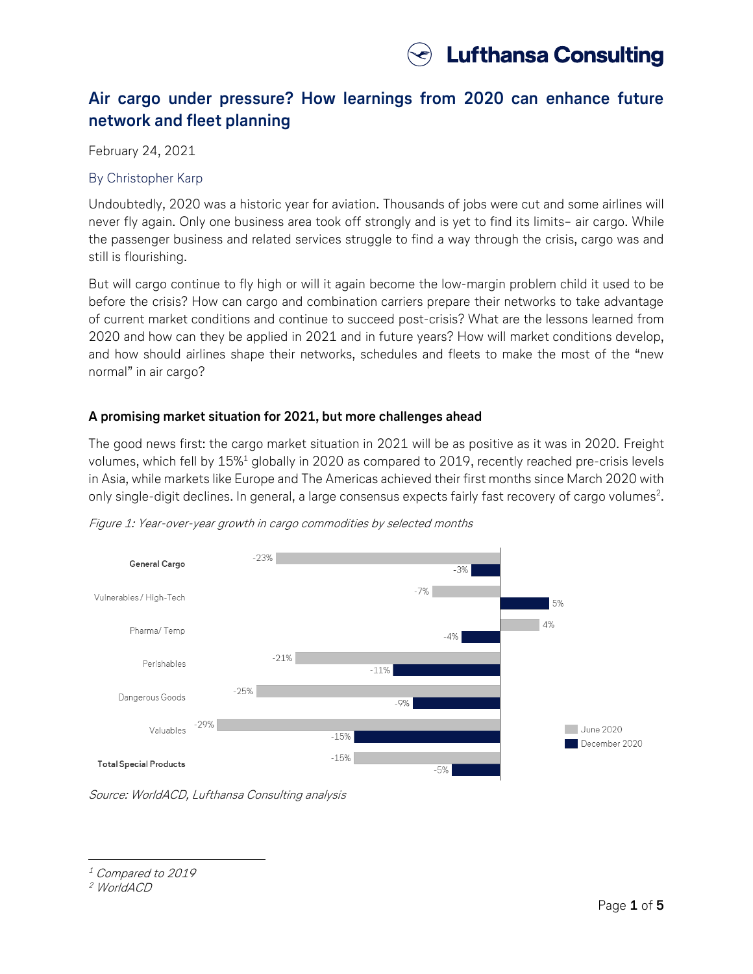

# **Air cargo under pressure? How learnings from 2020 can enhance future network and fleet planning**

February 24, 2021

#### By Christopher Karp

Undoubtedly, 2020 was a historic year for aviation. Thousands of jobs were cut and some airlines will never fly again. Only one business area took off strongly and is yet to find its limits– air cargo. While the passenger business and related services struggle to find a way through the crisis, cargo was and still is flourishing.

But will cargo continue to fly high or will it again become the low-margin problem child it used to be before the crisis? How can cargo and combination carriers prepare their networks to take advantage of current market conditions and continue to succeed post-crisis? What are the lessons learned from 2020 and how can they be applied in 2021 and in future years? How will market conditions develop, and how should airlines shape their networks, schedules and fleets to make the most of the "new normal" in air cargo?

### **A promising market situation for 2021, but more challenges ahead**

The good news first: the cargo market situation in 2021 will be as positive as it was in 2020. Freight volumes, which fell by 15%<sup>1</sup> globally in 2020 as compared to 2019, recently reached pre-crisis levels in Asia, while markets like Europe and The Americas achieved their first months since March 2020 with only single-digit declines. In general, a large consensus expects fairly fast recovery of cargo volumes $^2\!$ .



Figure 1: Year-over-year growth in cargo commodities by selected months

Source: WorldACD, Lufthansa Consulting analysis

<sup>1</sup> Compared to 2019

<sup>2</sup> WorldACD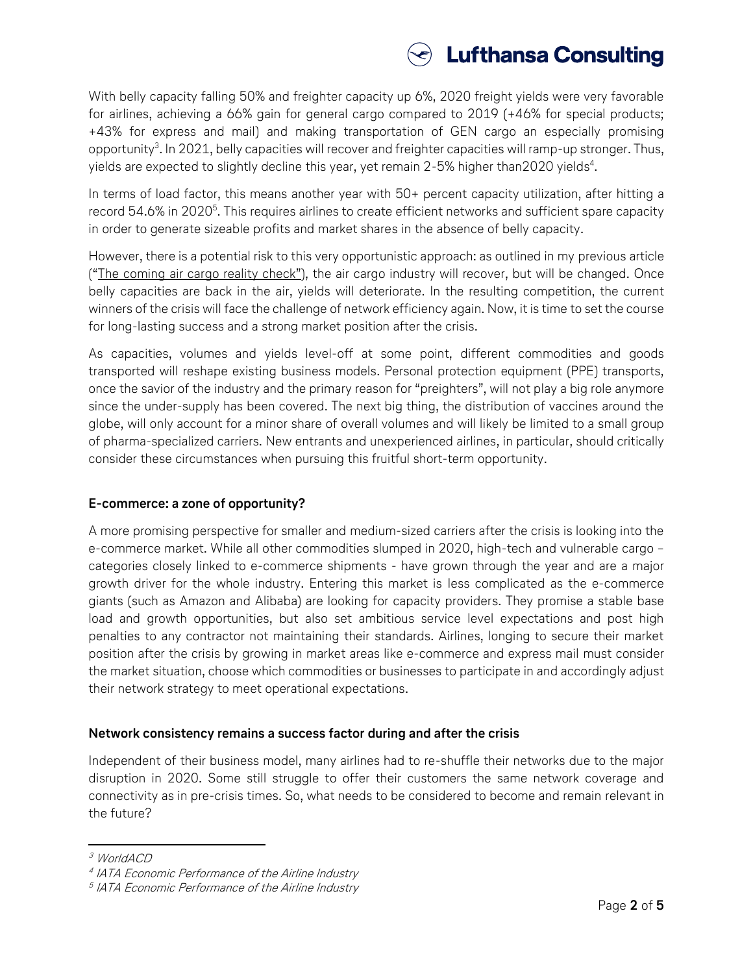

With belly capacity falling 50% and freighter capacity up 6%, 2020 freight yields were very favorable for airlines, achieving a 66% gain for general cargo compared to 2019 (+46% for special products; +43% for express and mail) and making transportation of GEN cargo an especially promising opportunity $^3$ . In 2021, belly capacities will recover and freighter capacities will ramp-up stronger. Thus, yields are expected to slightly decline this year, yet remain 2-5% higher than2020 yields $^4$ .

In terms of load factor, this means another year with 50+ percent capacity utilization, after hitting a record 54.6% in 2020 $^{\rm 5}$ . This requires airlines to create efficient networks and sufficient spare capacity in order to generate sizeable profits and market shares in the absence of belly capacity.

However, there is a potential risk to this very opportunistic approach: as outlined in my previous article (["The coming air cargo reality check"](https://www.lhconsulting.com/company/news/article/the-coming-air-cargo-reality-check-how-the-industry-will-evolve-through-covid-19/)), the air cargo industry will recover, but will be changed. Once belly capacities are back in the air, yields will deteriorate. In the resulting competition, the current winners of the crisis will face the challenge of network efficiency again. Now, it is time to set the course for long-lasting success and a strong market position after the crisis.

As capacities, volumes and yields level-off at some point, different commodities and goods transported will reshape existing business models. Personal protection equipment (PPE) transports, once the savior of the industry and the primary reason for "preighters", will not play a big role anymore since the under-supply has been covered. The next big thing, the distribution of vaccines around the globe, will only account for a minor share of overall volumes and will likely be limited to a small group of pharma-specialized carriers. New entrants and unexperienced airlines, in particular, should critically consider these circumstances when pursuing this fruitful short-term opportunity.

# **E-commerce: a zone of opportunity?**

A more promising perspective for smaller and medium-sized carriers after the crisis is looking into the e-commerce market. While all other commodities slumped in 2020, high-tech and vulnerable cargo – categories closely linked to e-commerce shipments - have grown through the year and are a major growth driver for the whole industry. Entering this market is less complicated as the e-commerce giants (such as Amazon and Alibaba) are looking for capacity providers. They promise a stable base load and growth opportunities, but also set ambitious service level expectations and post high penalties to any contractor not maintaining their standards. Airlines, longing to secure their market position after the crisis by growing in market areas like e-commerce and express mail must consider the market situation, choose which commodities or businesses to participate in and accordingly adjust their network strategy to meet operational expectations.

### **Network consistency remains a success factor during and after the crisis**

Independent of their business model, many airlines had to re-shuffle their networks due to the major disruption in 2020. Some still struggle to offer their customers the same network coverage and connectivity as in pre-crisis times. So, what needs to be considered to become and remain relevant in the future?

l <sup>3</sup> WorldACD

<sup>4</sup> IATA Economic Performance of the Airline Industry

<sup>5</sup> IATA Economic Performance of the Airline Industry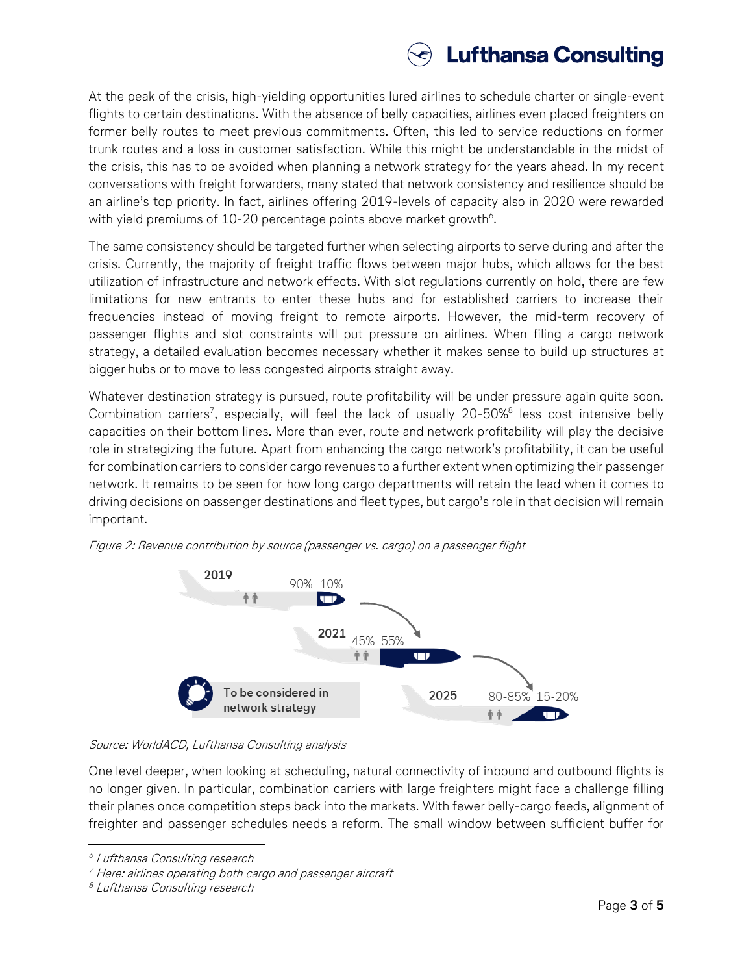

At the peak of the crisis, high-yielding opportunities lured airlines to schedule charter or single-event flights to certain destinations. With the absence of belly capacities, airlines even placed freighters on former belly routes to meet previous commitments. Often, this led to service reductions on former trunk routes and a loss in customer satisfaction. While this might be understandable in the midst of the crisis, this has to be avoided when planning a network strategy for the years ahead. In my recent conversations with freight forwarders, many stated that network consistency and resilience should be an airline's top priority. In fact, airlines offering 2019-levels of capacity also in 2020 were rewarded with yield premiums of 10-20 percentage points above market growth $^6$ .

The same consistency should be targeted further when selecting airports to serve during and after the crisis. Currently, the majority of freight traffic flows between major hubs, which allows for the best utilization of infrastructure and network effects. With slot regulations currently on hold, there are few limitations for new entrants to enter these hubs and for established carriers to increase their frequencies instead of moving freight to remote airports. However, the mid-term recovery of passenger flights and slot constraints will put pressure on airlines. When filing a cargo network strategy, a detailed evaluation becomes necessary whether it makes sense to build up structures at bigger hubs or to move to less congested airports straight away.

Whatever destination strategy is pursued, route profitability will be under pressure again quite soon. Combination carriers<sup>7</sup>, especially, will feel the lack of usually 20-50%<sup>8</sup> less cost intensive belly capacities on their bottom lines. More than ever, route and network profitability will play the decisive role in strategizing the future. Apart from enhancing the cargo network's profitability, it can be useful for combination carriers to consider cargo revenues to a further extent when optimizing their passenger network. It remains to be seen for how long cargo departments will retain the lead when it comes to driving decisions on passenger destinations and fleet types, but cargo's role in that decision will remain important.



Figure 2: Revenue contribution by source (passenger vs. cargo) on a passenger flight

### Source: WorldACD, Lufthansa Consulting analysis

One level deeper, when looking at scheduling, natural connectivity of inbound and outbound flights is no longer given. In particular, combination carriers with large freighters might face a challenge filling their planes once competition steps back into the markets. With fewer belly-cargo feeds, alignment of freighter and passenger schedules needs a reform. The small window between sufficient buffer for

<sup>6</sup> Lufthansa Consulting research

 $7$  Here: airlines operating both cargo and passenger aircraft

<sup>8</sup> Lufthansa Consulting research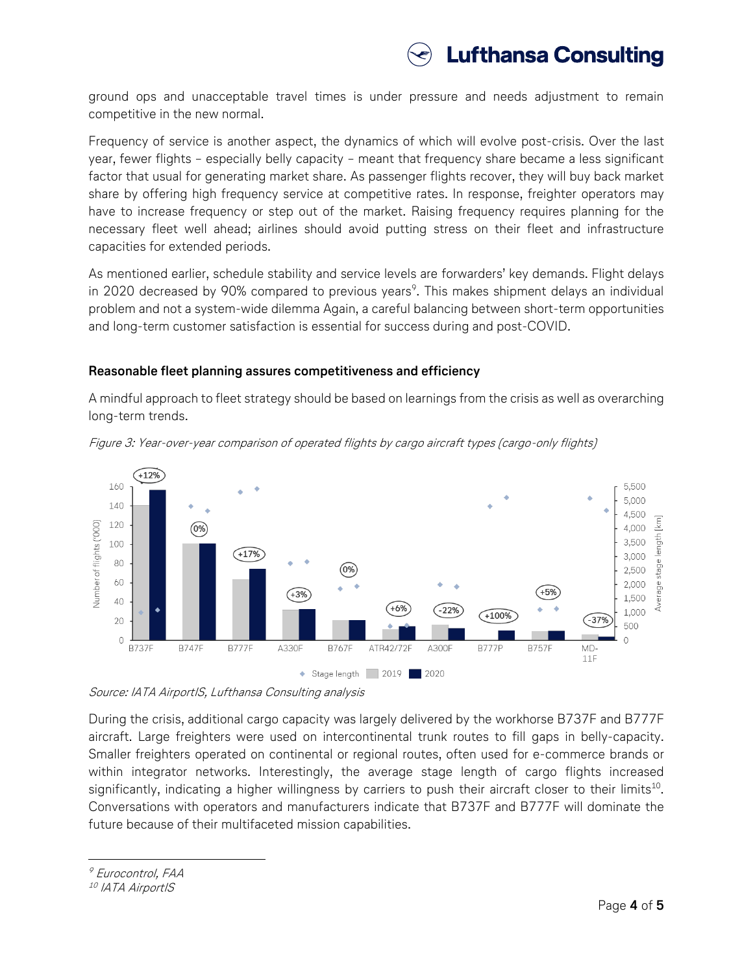

ground ops and unacceptable travel times is under pressure and needs adjustment to remain competitive in the new normal.

Frequency of service is another aspect, the dynamics of which will evolve post-crisis. Over the last year, fewer flights – especially belly capacity – meant that frequency share became a less significant factor that usual for generating market share. As passenger flights recover, they will buy back market share by offering high frequency service at competitive rates. In response, freighter operators may have to increase frequency or step out of the market. Raising frequency requires planning for the necessary fleet well ahead; airlines should avoid putting stress on their fleet and infrastructure capacities for extended periods.

As mentioned earlier, schedule stability and service levels are forwarders' key demands. Flight delays in 2020 decreased by 90% compared to previous years<sup>9</sup>. This makes shipment delays an individual problem and not a system-wide dilemma Again, a careful balancing between short-term opportunities and long-term customer satisfaction is essential for success during and post-COVID.

#### **Reasonable fleet planning assures competitiveness and efficiency**

A mindful approach to fleet strategy should be based on learnings from the crisis as well as overarching long-term trends.





Source: IATA AirportIS, Lufthansa Consulting analysis

During the crisis, additional cargo capacity was largely delivered by the workhorse B737F and B777F aircraft. Large freighters were used on intercontinental trunk routes to fill gaps in belly-capacity. Smaller freighters operated on continental or regional routes, often used for e-commerce brands or within integrator networks. Interestingly, the average stage length of cargo flights increased significantly, indicating a higher willingness by carriers to push their aircraft closer to their limits<sup>10</sup>. Conversations with operators and manufacturers indicate that B737F and B777F will dominate the future because of their multifaceted mission capabilities.

<sup>10</sup> IATA AirportIS